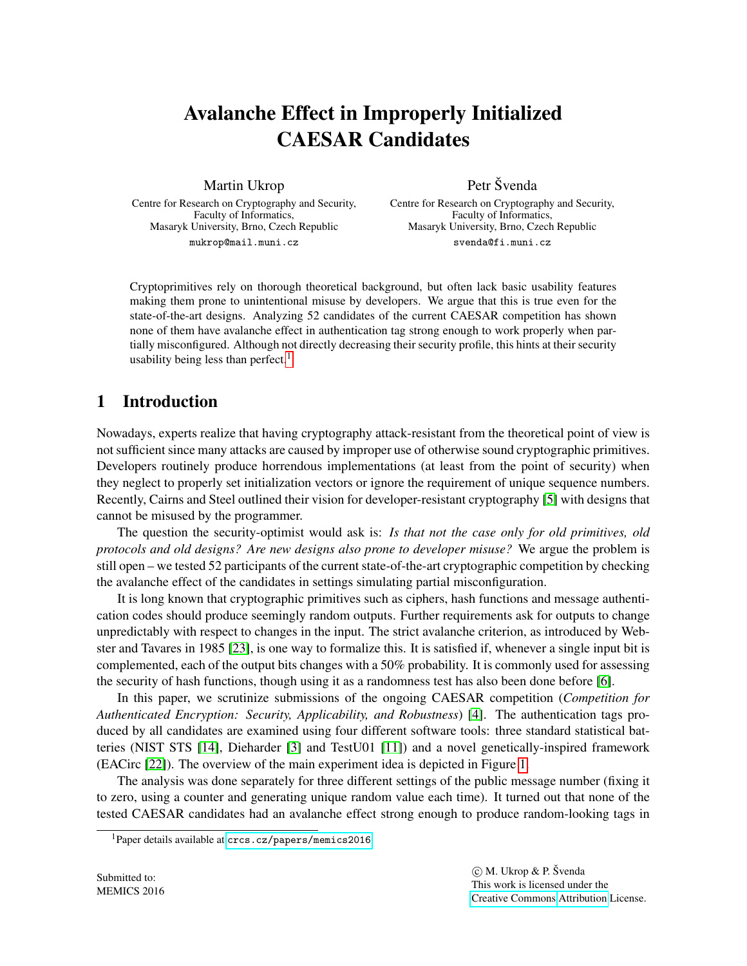# Avalanche Effect in Improperly Initialized CAESAR Candidates

Martin Ukrop

Centre for Research on Cryptography and Security, Faculty of Informatics, Masaryk University, Brno, Czech Republic mukrop@mail.muni.cz

Petr Švenda

Centre for Research on Cryptography and Security, Faculty of Informatics, Masaryk University, Brno, Czech Republic svenda@fi.muni.cz

Cryptoprimitives rely on thorough theoretical background, but often lack basic usability features making them prone to unintentional misuse by developers. We argue that this is true even for the state-of-the-art designs. Analyzing 52 candidates of the current CAESAR competition has shown none of them have avalanche effect in authentication tag strong enough to work properly when partially misconfigured. Although not directly decreasing their security profile, this hints at their security usability being less than perfect.<sup>[1](#page-0-0)</sup>

## 1 Introduction

Nowadays, experts realize that having cryptography attack-resistant from the theoretical point of view is not sufficient since many attacks are caused by improper use of otherwise sound cryptographic primitives. Developers routinely produce horrendous implementations (at least from the point of security) when they neglect to properly set initialization vectors or ignore the requirement of unique sequence numbers. Recently, Cairns and Steel outlined their vision for developer-resistant cryptography [\[5\]](#page-8-0) with designs that cannot be misused by the programmer.

The question the security-optimist would ask is: *Is that not the case only for old primitives, old protocols and old designs? Are new designs also prone to developer misuse?* We argue the problem is still open – we tested 52 participants of the current state-of-the-art cryptographic competition by checking the avalanche effect of the candidates in settings simulating partial misconfiguration.

It is long known that cryptographic primitives such as ciphers, hash functions and message authentication codes should produce seemingly random outputs. Further requirements ask for outputs to change unpredictably with respect to changes in the input. The strict avalanche criterion, as introduced by Webster and Tavares in 1985 [\[23\]](#page-9-0), is one way to formalize this. It is satisfied if, whenever a single input bit is complemented, each of the output bits changes with a 50% probability. It is commonly used for assessing the security of hash functions, though using it as a randomness test has also been done before [\[6\]](#page-8-1).

In this paper, we scrutinize submissions of the ongoing CAESAR competition (*Competition for Authenticated Encryption: Security, Applicability, and Robustness*) [\[4\]](#page-8-2). The authentication tags produced by all candidates are examined using four different software tools: three standard statistical batteries (NIST STS [\[14\]](#page-9-1), Dieharder [\[3\]](#page-8-3) and TestU01 [\[11\]](#page-9-2)) and a novel genetically-inspired framework (EACirc [\[22\]](#page-9-3)). The overview of the main experiment idea is depicted in Figure [1.](#page-1-0)

The analysis was done separately for three different settings of the public message number (fixing it to zero, using a counter and generating unique random value each time). It turned out that none of the tested CAESAR candidates had an avalanche effect strong enough to produce random-looking tags in

<span id="page-0-0"></span><sup>1</sup>Paper details available at <crcs.cz/papers/memics2016>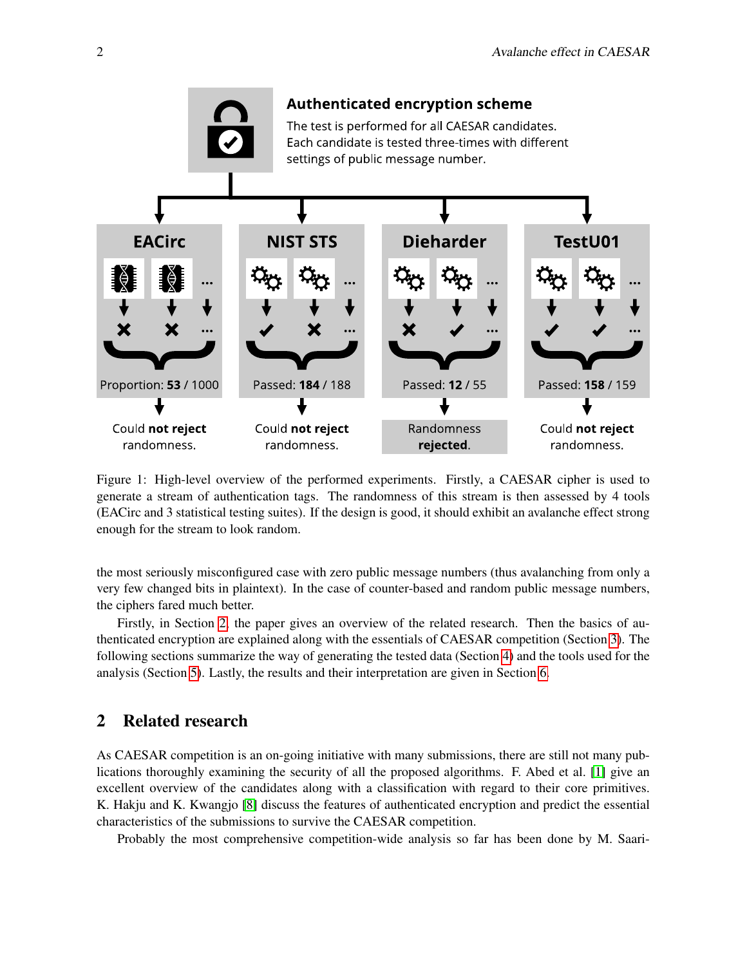

<span id="page-1-0"></span>Figure 1: High-level overview of the performed experiments. Firstly, a CAESAR cipher is used to generate a stream of authentication tags. The randomness of this stream is then assessed by 4 tools (EACirc and 3 statistical testing suites). If the design is good, it should exhibit an avalanche effect strong enough for the stream to look random.

the most seriously misconfigured case with zero public message numbers (thus avalanching from only a very few changed bits in plaintext). In the case of counter-based and random public message numbers, the ciphers fared much better.

Firstly, in Section [2,](#page-1-1) the paper gives an overview of the related research. Then the basics of authenticated encryption are explained along with the essentials of CAESAR competition (Section [3\)](#page-2-0). The following sections summarize the way of generating the tested data (Section [4\)](#page-3-0) and the tools used for the analysis (Section [5\)](#page-4-0). Lastly, the results and their interpretation are given in Section [6.](#page-5-0)

## <span id="page-1-1"></span>2 Related research

As CAESAR competition is an on-going initiative with many submissions, there are still not many publications thoroughly examining the security of all the proposed algorithms. F. Abed et al. [\[1\]](#page-8-4) give an excellent overview of the candidates along with a classification with regard to their core primitives. K. Hakju and K. Kwangjo [\[8\]](#page-8-5) discuss the features of authenticated encryption and predict the essential characteristics of the submissions to survive the CAESAR competition.

Probably the most comprehensive competition-wide analysis so far has been done by M. Saari-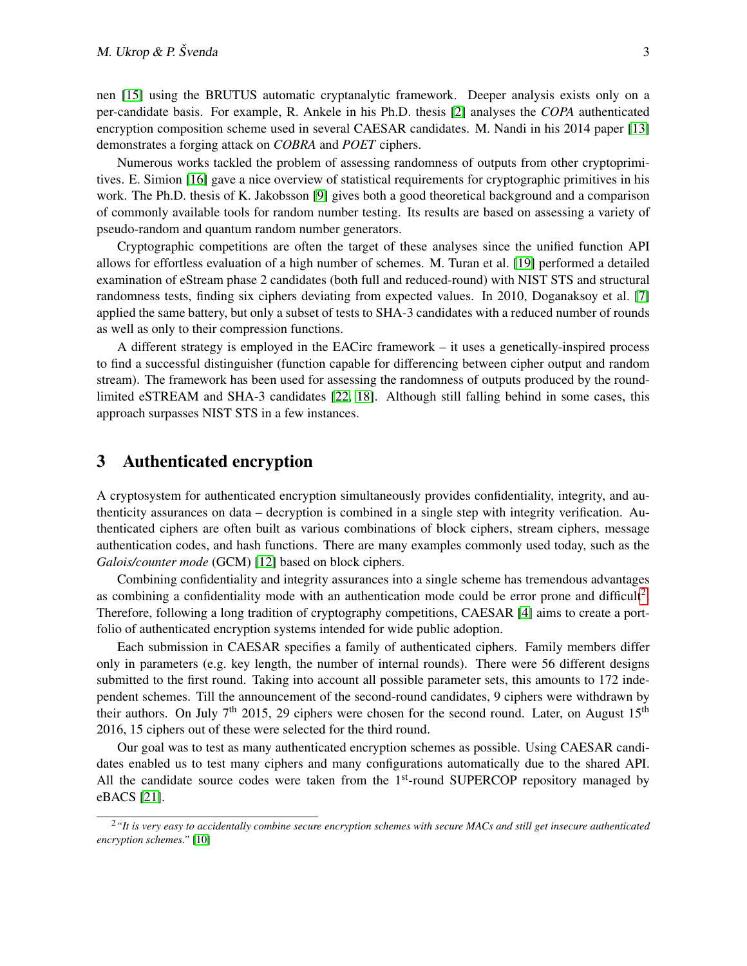nen [\[15\]](#page-9-4) using the BRUTUS automatic cryptanalytic framework. Deeper analysis exists only on a per-candidate basis. For example, R. Ankele in his Ph.D. thesis [\[2\]](#page-8-6) analyses the *COPA* authenticated encryption composition scheme used in several CAESAR candidates. M. Nandi in his 2014 paper [\[13\]](#page-9-5) demonstrates a forging attack on *COBRA* and *POET* ciphers.

Numerous works tackled the problem of assessing randomness of outputs from other cryptoprimitives. E. Simion [\[16\]](#page-9-6) gave a nice overview of statistical requirements for cryptographic primitives in his work. The Ph.D. thesis of K. Jakobsson [\[9\]](#page-8-7) gives both a good theoretical background and a comparison of commonly available tools for random number testing. Its results are based on assessing a variety of pseudo-random and quantum random number generators.

Cryptographic competitions are often the target of these analyses since the unified function API allows for effortless evaluation of a high number of schemes. M. Turan et al. [\[19\]](#page-9-7) performed a detailed examination of eStream phase 2 candidates (both full and reduced-round) with NIST STS and structural randomness tests, finding six ciphers deviating from expected values. In 2010, Doganaksoy et al. [\[7\]](#page-8-8) applied the same battery, but only a subset of tests to SHA-3 candidates with a reduced number of rounds as well as only to their compression functions.

A different strategy is employed in the EACirc framework – it uses a genetically-inspired process to find a successful distinguisher (function capable for differencing between cipher output and random stream). The framework has been used for assessing the randomness of outputs produced by the roundlimited eSTREAM and SHA-3 candidates [\[22,](#page-9-3) [18\]](#page-9-8). Although still falling behind in some cases, this approach surpasses NIST STS in a few instances.

## <span id="page-2-0"></span>3 Authenticated encryption

A cryptosystem for authenticated encryption simultaneously provides confidentiality, integrity, and authenticity assurances on data – decryption is combined in a single step with integrity verification. Authenticated ciphers are often built as various combinations of block ciphers, stream ciphers, message authentication codes, and hash functions. There are many examples commonly used today, such as the *Galois/counter mode* (GCM) [\[12\]](#page-9-9) based on block ciphers.

Combining confidentiality and integrity assurances into a single scheme has tremendous advantages as combining a confidentiality mode with an authentication mode could be error prone and difficult<sup>[2](#page-2-1)</sup>. Therefore, following a long tradition of cryptography competitions, CAESAR [\[4\]](#page-8-2) aims to create a portfolio of authenticated encryption systems intended for wide public adoption.

Each submission in CAESAR specifies a family of authenticated ciphers. Family members differ only in parameters (e.g. key length, the number of internal rounds). There were 56 different designs submitted to the first round. Taking into account all possible parameter sets, this amounts to 172 independent schemes. Till the announcement of the second-round candidates, 9 ciphers were withdrawn by their authors. On July 7<sup>th</sup> 2015, 29 ciphers were chosen for the second round. Later, on August 15<sup>th</sup> 2016, 15 ciphers out of these were selected for the third round.

Our goal was to test as many authenticated encryption schemes as possible. Using CAESAR candidates enabled us to test many ciphers and many configurations automatically due to the shared API. All the candidate source codes were taken from the  $1<sup>st</sup>$ -round SUPERCOP repository managed by eBACS [\[21\]](#page-9-10).

<span id="page-2-1"></span><sup>2</sup>*"It is very easy to accidentally combine secure encryption schemes with secure MACs and still get insecure authenticated encryption schemes."* [\[10\]](#page-9-11)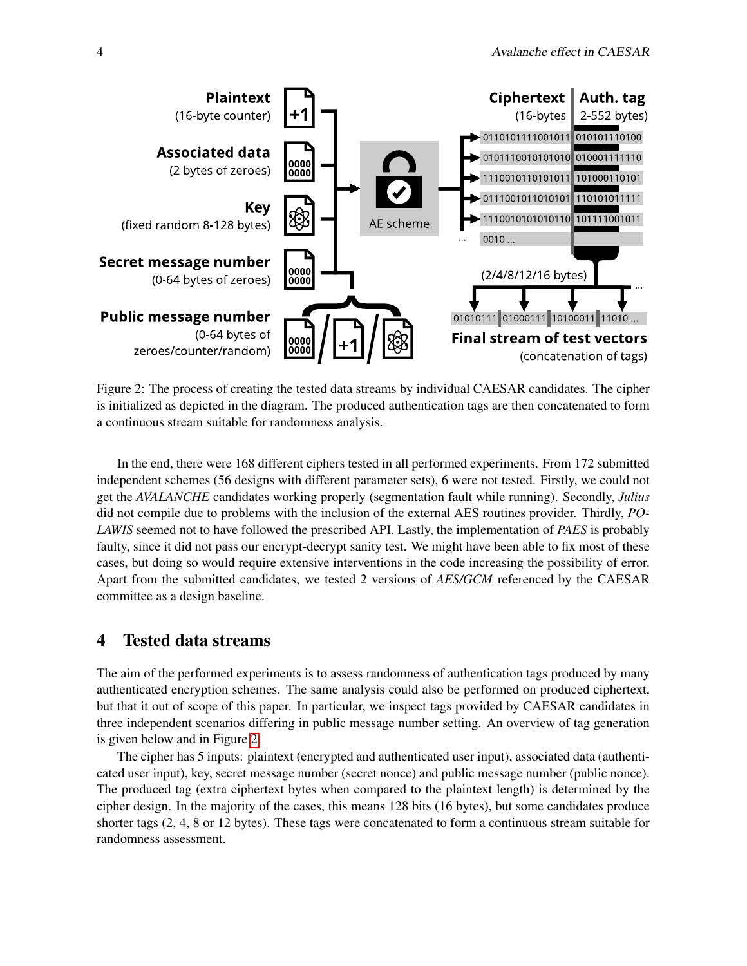

<span id="page-3-1"></span>Figure 2: The process of creating the tested data streams by individual CAESAR candidates. The cipher is initialized as depicted in the diagram. The produced authentication tags are then concatenated to form a continuous stream suitable for randomness analysis.

In the end, there were 168 different ciphers tested in all performed experiments. From 172 submitted independent schemes (56 designs with different parameter sets), 6 were not tested. Firstly, we could not get the *AVALANCHE* candidates working properly (segmentation fault while running). Secondly, *Julius* did not compile due to problems with the inclusion of the external AES routines provider. Thirdly, *PO-LAWIS* seemed not to have followed the prescribed API. Lastly, the implementation of *PAES* is probably faulty, since it did not pass our encrypt-decrypt sanity test. We might have been able to fix most of these cases, but doing so would require extensive interventions in the code increasing the possibility of error. Apart from the submitted candidates, we tested 2 versions of *AES/GCM* referenced by the CAESAR committee as a design baseline.

## <span id="page-3-0"></span>4 Tested data streams

The aim of the performed experiments is to assess randomness of authentication tags produced by many authenticated encryption schemes. The same analysis could also be performed on produced ciphertext, but that it out of scope of this paper. In particular, we inspect tags provided by CAESAR candidates in three independent scenarios differing in public message number setting. An overview of tag generation is given below and in Figure [2.](#page-3-1)

The cipher has 5 inputs: plaintext (encrypted and authenticated user input), associated data (authenticated user input), key, secret message number (secret nonce) and public message number (public nonce). The produced tag (extra ciphertext bytes when compared to the plaintext length) is determined by the cipher design. In the majority of the cases, this means 128 bits (16 bytes), but some candidates produce shorter tags (2, 4, 8 or 12 bytes). These tags were concatenated to form a continuous stream suitable for randomness assessment.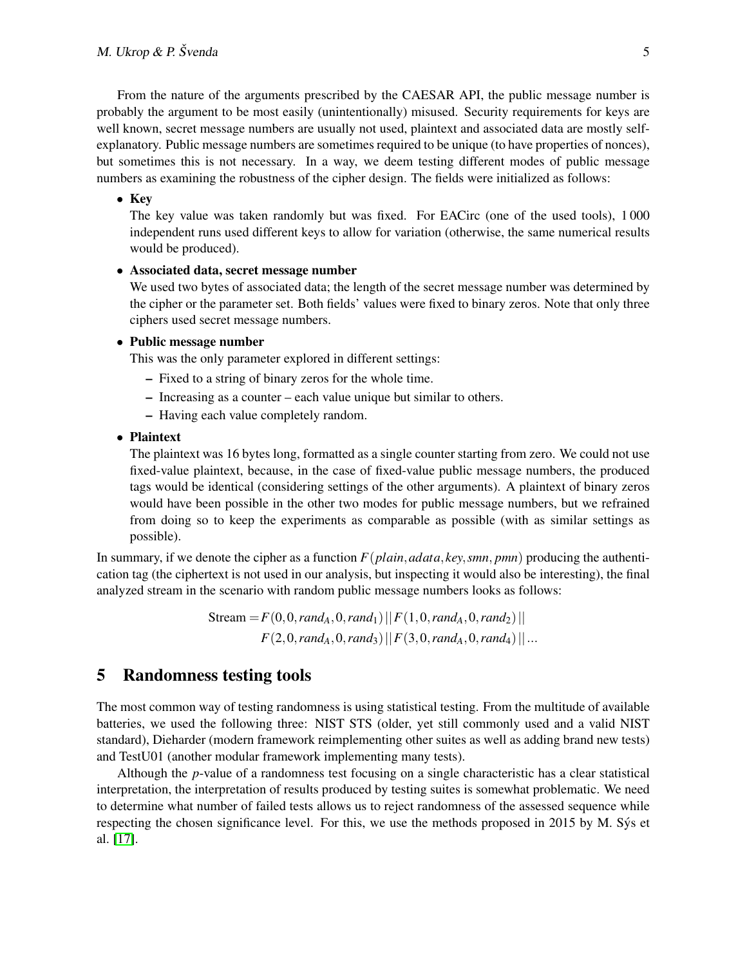From the nature of the arguments prescribed by the CAESAR API, the public message number is probably the argument to be most easily (unintentionally) misused. Security requirements for keys are well known, secret message numbers are usually not used, plaintext and associated data are mostly selfexplanatory. Public message numbers are sometimes required to be unique (to have properties of nonces), but sometimes this is not necessary. In a way, we deem testing different modes of public message numbers as examining the robustness of the cipher design. The fields were initialized as follows:

#### • Key

The key value was taken randomly but was fixed. For EACirc (one of the used tools), 1 000 independent runs used different keys to allow for variation (otherwise, the same numerical results would be produced).

#### • Associated data, secret message number

We used two bytes of associated data; the length of the secret message number was determined by the cipher or the parameter set. Both fields' values were fixed to binary zeros. Note that only three ciphers used secret message numbers.

#### • Public message number

This was the only parameter explored in different settings:

- Fixed to a string of binary zeros for the whole time.
- Increasing as a counter each value unique but similar to others.
- Having each value completely random.

#### • Plaintext

The plaintext was 16 bytes long, formatted as a single counter starting from zero. We could not use fixed-value plaintext, because, in the case of fixed-value public message numbers, the produced tags would be identical (considering settings of the other arguments). A plaintext of binary zeros would have been possible in the other two modes for public message numbers, but we refrained from doing so to keep the experiments as comparable as possible (with as similar settings as possible).

In summary, if we denote the cipher as a function  $F(plain, adata, key, smn, pmn)$  producing the authentication tag (the ciphertext is not used in our analysis, but inspecting it would also be interesting), the final analyzed stream in the scenario with random public message numbers looks as follows:

> $Stream = F(0, 0, rand<sub>A</sub>, 0, rand<sub>1</sub>)$   $|| F(1, 0, rand<sub>A</sub>, 0, rand<sub>2</sub>) ||$  $F(2,0,rand_A,0,rand_3)||F(3,0,rand_A,0,rand_4)||...$

## <span id="page-4-0"></span>5 Randomness testing tools

The most common way of testing randomness is using statistical testing. From the multitude of available batteries, we used the following three: NIST STS (older, yet still commonly used and a valid NIST standard), Dieharder (modern framework reimplementing other suites as well as adding brand new tests) and TestU01 (another modular framework implementing many tests).

Although the *p*-value of a randomness test focusing on a single characteristic has a clear statistical interpretation, the interpretation of results produced by testing suites is somewhat problematic. We need to determine what number of failed tests allows us to reject randomness of the assessed sequence while respecting the chosen significance level. For this, we use the methods proposed in 2015 by M. Sys et al. [\[17\]](#page-9-12).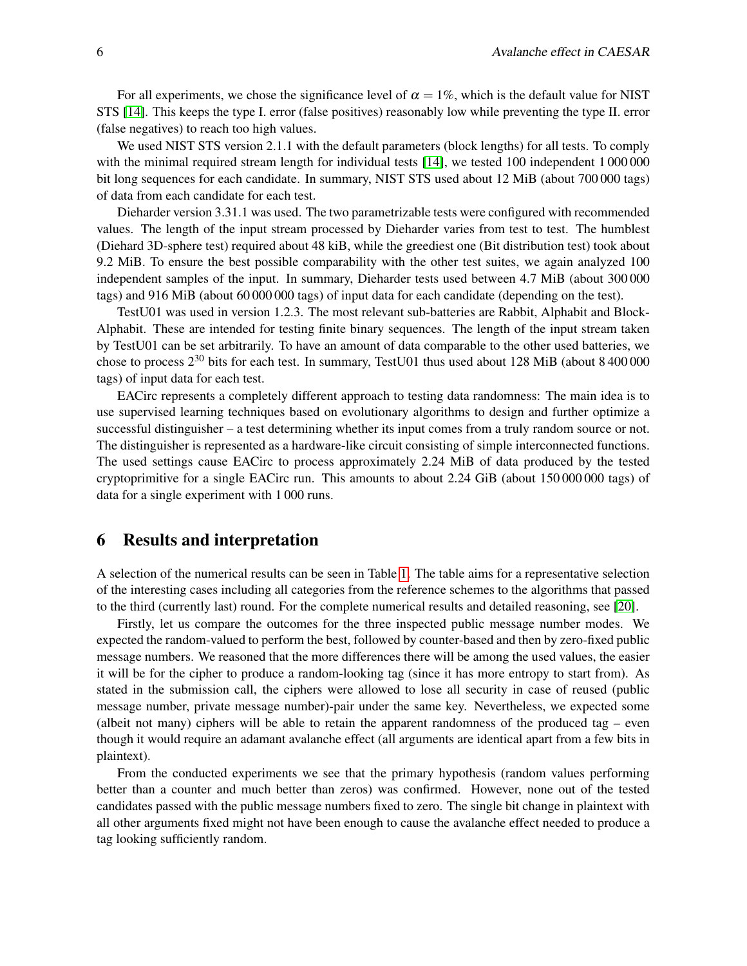For all experiments, we chose the significance level of  $\alpha = 1\%$ , which is the default value for NIST STS [\[14\]](#page-9-1). This keeps the type I. error (false positives) reasonably low while preventing the type II. error (false negatives) to reach too high values.

We used NIST STS version 2.1.1 with the default parameters (block lengths) for all tests. To comply with the minimal required stream length for individual tests [\[14\]](#page-9-1), we tested 100 independent 1 000 000 bit long sequences for each candidate. In summary, NIST STS used about 12 MiB (about 700 000 tags) of data from each candidate for each test.

Dieharder version 3.31.1 was used. The two parametrizable tests were configured with recommended values. The length of the input stream processed by Dieharder varies from test to test. The humblest (Diehard 3D-sphere test) required about 48 kiB, while the greediest one (Bit distribution test) took about 9.2 MiB. To ensure the best possible comparability with the other test suites, we again analyzed 100 independent samples of the input. In summary, Dieharder tests used between 4.7 MiB (about 300 000 tags) and 916 MiB (about 60 000 000 tags) of input data for each candidate (depending on the test).

TestU01 was used in version 1.2.3. The most relevant sub-batteries are Rabbit, Alphabit and Block-Alphabit. These are intended for testing finite binary sequences. The length of the input stream taken by TestU01 can be set arbitrarily. To have an amount of data comparable to the other used batteries, we chose to process  $2^{30}$  bits for each test. In summary, TestU01 thus used about 128 MiB (about 8 400 000 tags) of input data for each test.

EACirc represents a completely different approach to testing data randomness: The main idea is to use supervised learning techniques based on evolutionary algorithms to design and further optimize a successful distinguisher – a test determining whether its input comes from a truly random source or not. The distinguisher is represented as a hardware-like circuit consisting of simple interconnected functions. The used settings cause EACirc to process approximately 2.24 MiB of data produced by the tested cryptoprimitive for a single EACirc run. This amounts to about 2.24 GiB (about 150 000 000 tags) of data for a single experiment with 1 000 runs.

#### <span id="page-5-0"></span>6 Results and interpretation

A selection of the numerical results can be seen in Table [1.](#page-6-0) The table aims for a representative selection of the interesting cases including all categories from the reference schemes to the algorithms that passed to the third (currently last) round. For the complete numerical results and detailed reasoning, see [\[20\]](#page-9-13).

Firstly, let us compare the outcomes for the three inspected public message number modes. We expected the random-valued to perform the best, followed by counter-based and then by zero-fixed public message numbers. We reasoned that the more differences there will be among the used values, the easier it will be for the cipher to produce a random-looking tag (since it has more entropy to start from). As stated in the submission call, the ciphers were allowed to lose all security in case of reused (public message number, private message number)-pair under the same key. Nevertheless, we expected some (albeit not many) ciphers will be able to retain the apparent randomness of the produced tag – even though it would require an adamant avalanche effect (all arguments are identical apart from a few bits in plaintext).

From the conducted experiments we see that the primary hypothesis (random values performing better than a counter and much better than zeros) was confirmed. However, none out of the tested candidates passed with the public message numbers fixed to zero. The single bit change in plaintext with all other arguments fixed might not have been enough to cause the avalanche effect needed to produce a tag looking sufficiently random.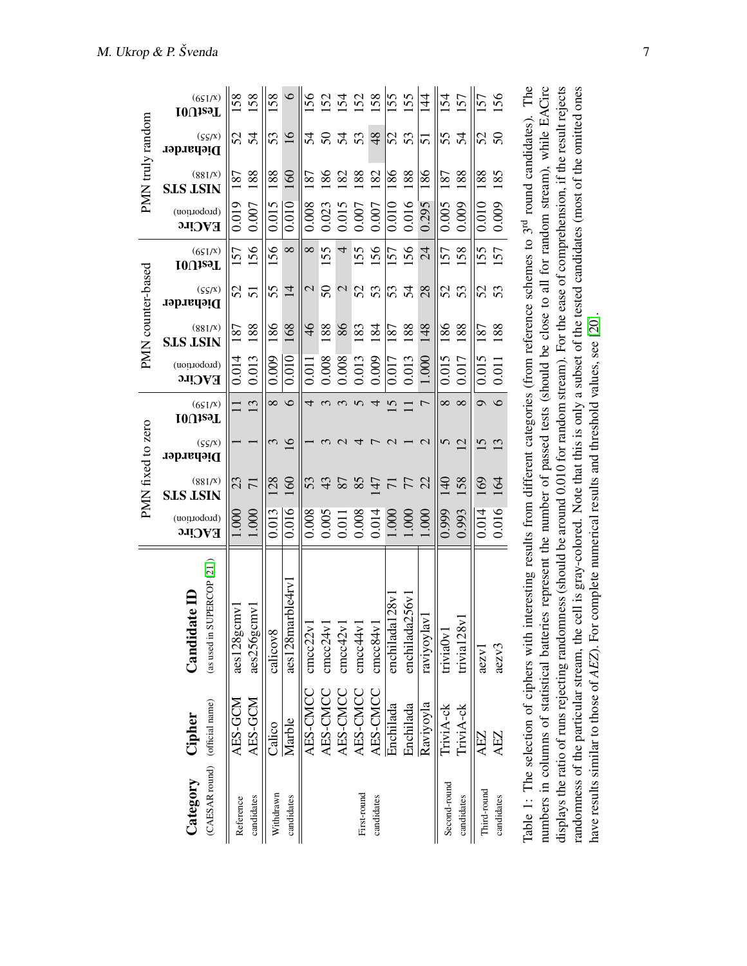|                                            |                                        |                                                                                                                                                                                                                                                          |                               |                            | PMN fixed to zero     |                           |                               |                            | PMN counter-based     |                           |                               |                            | PMN truly random      |                           |
|--------------------------------------------|----------------------------------------|----------------------------------------------------------------------------------------------------------------------------------------------------------------------------------------------------------------------------------------------------------|-------------------------------|----------------------------|-----------------------|---------------------------|-------------------------------|----------------------------|-----------------------|---------------------------|-------------------------------|----------------------------|-----------------------|---------------------------|
| (CAESAR round) (official name)<br>Category | Cipher                                 | SUPERCOP <sub>[21]</sub><br>$1$ ate $\Pi$<br>(as used in<br>$C$ andi $\alpha$                                                                                                                                                                            | (noirioqorq)<br><b>EACirc</b> | (881/x)<br><b>SLS LSIN</b> | (S(S/X))<br>Dieharder | (6S1/X)<br><b>IOUizeT</b> | (noirioqorq)<br><b>EACirc</b> | (881/x)<br><b>SLS LSIN</b> | (S(S/X))<br>Dieharder | (6S1/X)<br><b>IOUizeT</b> | (noirioqorq)<br><b>EACirc</b> | (881/x)<br><b>SLS LSIN</b> | (S(S/X))<br>Dieharder | (6S1/X)<br><b>IOUizeT</b> |
| Reference                                  | AES-GCM                                | $\text{cm}$<br>$\text{acs}128g$                                                                                                                                                                                                                          | 1.000                         | 23                         |                       |                           | 0.014                         | 187                        | 52                    | 57                        | 0.019                         | 87                         | 52                    | 58                        |
| candidates                                 | AES-GCM                                | $\sum$<br>$\frac{256g}{25}$                                                                                                                                                                                                                              | 1.000                         | $\overline{7}$             |                       | $\overline{3}$            | 0.013                         | 188                        | $\overline{5}$        | 156                       | 0.007                         | 188                        | 54                    | 158                       |
| Withdrawn                                  | Calico                                 | calicov8                                                                                                                                                                                                                                                 | 0.013                         | <b>28</b>                  | 3                     | $\infty$                  | 0.009                         | 186                        | 55                    | 56                        | 0.015                         | 188                        | 53                    | 58                        |
| candidates                                 | Marble                                 | aes128marble4rv1                                                                                                                                                                                                                                         | 0.016                         | 160                        | 16                    | $\circ$                   | 0.010                         | 168                        | $\overline{1}$        | $\infty$                  | 0.010                         | 160                        | $\overline{16}$       | $\circ$                   |
|                                            | AES-CMCC                               | cmcc22v                                                                                                                                                                                                                                                  | 0.008                         | 53                         |                       | 4                         | 0.011                         | $\frac{4}{6}$              | $\mathcal{L}$         | $\infty$                  | 0.008                         | $\overline{87}$            | 54                    | 56                        |
|                                            | AES-CMCC                               | $\text{cmcc24v1}$                                                                                                                                                                                                                                        | 0.005                         | 43                         |                       | $\omega$                  | 0.008                         | 188                        | 50                    | 155                       | 0.023                         | 86                         | $50\,$                | 52                        |
|                                            | AES-CMCC                               | cmcc42v1                                                                                                                                                                                                                                                 | 0.011                         | 87                         |                       | $\mathfrak{g}$            | 0.008                         | 86                         | $\mathcal{L}$         | 4                         | 0.015                         | $\overline{82}$            | 54                    | 154                       |
| First-round                                | AES-CMCC                               | cmcc44v1                                                                                                                                                                                                                                                 | 0.008                         | 85                         | ₹                     | $\Omega$                  | 0.013                         | 183                        | 52                    | 155                       | 0.007                         | 188                        | 53                    | 52                        |
| candidates                                 | AES-CMCC                               | cmcc84v1                                                                                                                                                                                                                                                 | 0.014                         | $\overline{147}$           |                       | 4                         | 0.009                         | 184                        | 53                    | 156                       | 0.007                         | 182                        | 48                    | <b>58</b>                 |
|                                            | Enchilada                              | enchilada128v                                                                                                                                                                                                                                            | 1.000                         | $\frac{7}{7}$              | $\mathcal{L}$         | $\overline{5}$            | 0.017                         | 187                        | 54                    | $\overline{57}$           | 0.010                         | 186                        | S                     | 155                       |
|                                            | Enchilada                              | enchilada256v                                                                                                                                                                                                                                            | 1.000                         |                            |                       |                           | 0.013                         | 188                        |                       | 56                        | 0.016                         | 188                        | 53                    | <b>SS</b>                 |
|                                            | Raviyoyla                              | $\sum$<br>raviyoyl                                                                                                                                                                                                                                       | 1.000                         | 22                         | $\mathcal{L}$         | 7                         | 1.000                         | 148                        | 28                    | $\overline{24}$           | 0.295                         | 186                        | 51                    | $\frac{44}{3}$            |
| Second-round                               | TriviA-ck                              | triviaOv                                                                                                                                                                                                                                                 | 0.999                         | $\frac{1}{2}$              | 50                    | $\infty$                  | 0.015                         | 186                        | 52                    | 57                        | 0.005                         | $\overline{87}$            | 55                    | 154                       |
| candidates                                 | TriviA-ck                              | trivia $128v$                                                                                                                                                                                                                                            | 0.993                         | 158                        |                       | $\infty$                  | 0.017                         | 188                        | 53                    | 158                       | 0.009                         | 188                        | 54                    | 57                        |
| Third-round                                | AEZ                                    | $\text{a}$ $\text{c}$ $\text{c}$                                                                                                                                                                                                                         | 0.014                         | 169                        | $\tilde{\bm{c}}$      | $\sigma$                  | 0.015                         | 187                        | 52                    | 55                        | 0.010                         | 188                        | 52                    | 57                        |
| candidates                                 | AEZ                                    | aezv3                                                                                                                                                                                                                                                    | 0.016                         | 164                        | $\tilde{\mathcal{L}}$ | $\circ$                   | 0.011                         | 188                        | 53                    | 57                        | 0.009                         | 185                        | 50                    | 56                        |
|                                            | Table 1: The selection of ciphers with | numbers in columns of statistical batteries represent the number of passed tests (should be close to all for random stream), while EACirc<br>interesting results from different categories (from reference schemes to 3 <sup>rd</sup> round candidates). |                               |                            |                       |                           |                               |                            |                       |                           |                               |                            |                       | The                       |
|                                            |                                        | displays the ratio of runs rejecting randomness (should be around 0.010 for random stream). For the ease of comprehension, if the result rejects                                                                                                         |                               |                            |                       |                           |                               |                            |                       |                           |                               |                            |                       |                           |

displays the ratio of runs rejecting randomness (should be around 0.010 for random stream). For the ease of comprehension, if the result rejects randomness of the particular stream, the cell is gray-colored. Note that this is only a subset of the tested candidates (most of the omitted ones

<span id="page-6-0"></span>randomness of the particular stream, the cell is gray-colored. Note that this is only a subset of the tested candidates (most of the omitted ones

have results similar to those of *AEZ*). For complete numerical results and threshold values, see [\[20\]](#page-9-13).

have results similar to those of AEZ). For complete numerical results and threshold values, see [20].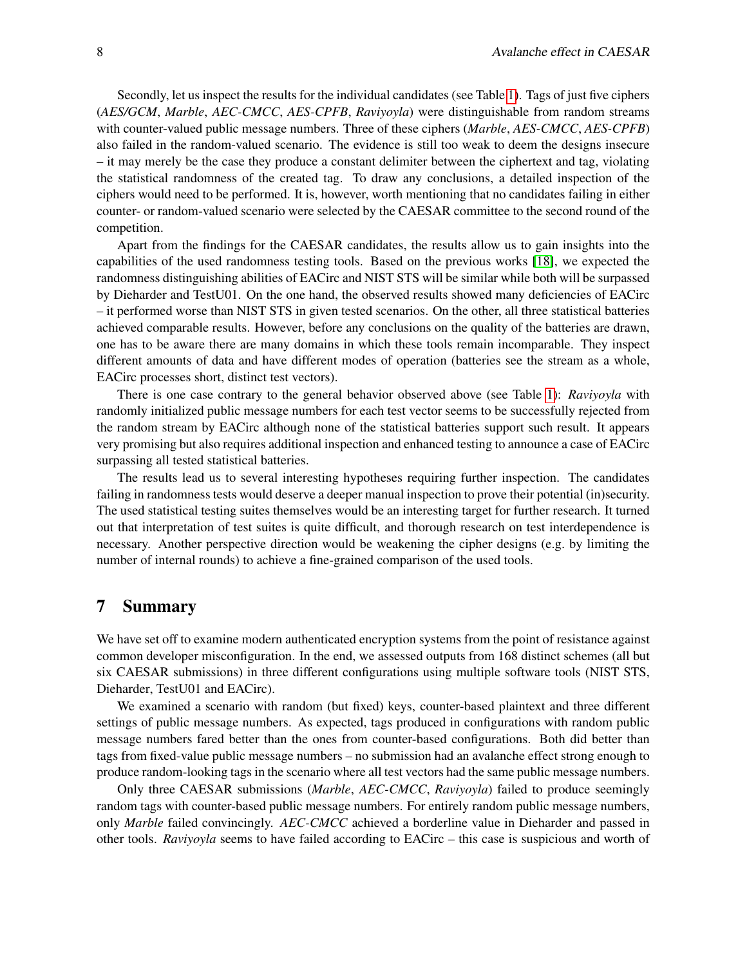Secondly, let us inspect the results for the individual candidates (see Table [1\)](#page-6-0). Tags of just five ciphers (*AES/GCM*, *Marble*, *AEC-CMCC*, *AES-CPFB*, *Raviyoyla*) were distinguishable from random streams with counter-valued public message numbers. Three of these ciphers (*Marble*, *AES-CMCC*, *AES-CPFB*) also failed in the random-valued scenario. The evidence is still too weak to deem the designs insecure – it may merely be the case they produce a constant delimiter between the ciphertext and tag, violating the statistical randomness of the created tag. To draw any conclusions, a detailed inspection of the ciphers would need to be performed. It is, however, worth mentioning that no candidates failing in either counter- or random-valued scenario were selected by the CAESAR committee to the second round of the competition.

Apart from the findings for the CAESAR candidates, the results allow us to gain insights into the capabilities of the used randomness testing tools. Based on the previous works [\[18\]](#page-9-8), we expected the randomness distinguishing abilities of EACirc and NIST STS will be similar while both will be surpassed by Dieharder and TestU01. On the one hand, the observed results showed many deficiencies of EACirc – it performed worse than NIST STS in given tested scenarios. On the other, all three statistical batteries achieved comparable results. However, before any conclusions on the quality of the batteries are drawn, one has to be aware there are many domains in which these tools remain incomparable. They inspect different amounts of data and have different modes of operation (batteries see the stream as a whole, EACirc processes short, distinct test vectors).

There is one case contrary to the general behavior observed above (see Table [1\)](#page-6-0): *Raviyoyla* with randomly initialized public message numbers for each test vector seems to be successfully rejected from the random stream by EACirc although none of the statistical batteries support such result. It appears very promising but also requires additional inspection and enhanced testing to announce a case of EACirc surpassing all tested statistical batteries.

The results lead us to several interesting hypotheses requiring further inspection. The candidates failing in randomness tests would deserve a deeper manual inspection to prove their potential (in)security. The used statistical testing suites themselves would be an interesting target for further research. It turned out that interpretation of test suites is quite difficult, and thorough research on test interdependence is necessary. Another perspective direction would be weakening the cipher designs (e.g. by limiting the number of internal rounds) to achieve a fine-grained comparison of the used tools.

## 7 Summary

We have set off to examine modern authenticated encryption systems from the point of resistance against common developer misconfiguration. In the end, we assessed outputs from 168 distinct schemes (all but six CAESAR submissions) in three different configurations using multiple software tools (NIST STS, Dieharder, TestU01 and EACirc).

We examined a scenario with random (but fixed) keys, counter-based plaintext and three different settings of public message numbers. As expected, tags produced in configurations with random public message numbers fared better than the ones from counter-based configurations. Both did better than tags from fixed-value public message numbers – no submission had an avalanche effect strong enough to produce random-looking tags in the scenario where all test vectors had the same public message numbers.

Only three CAESAR submissions (*Marble*, *AEC-CMCC*, *Raviyoyla*) failed to produce seemingly random tags with counter-based public message numbers. For entirely random public message numbers, only *Marble* failed convincingly. *AEC-CMCC* achieved a borderline value in Dieharder and passed in other tools. *Raviyoyla* seems to have failed according to EACirc – this case is suspicious and worth of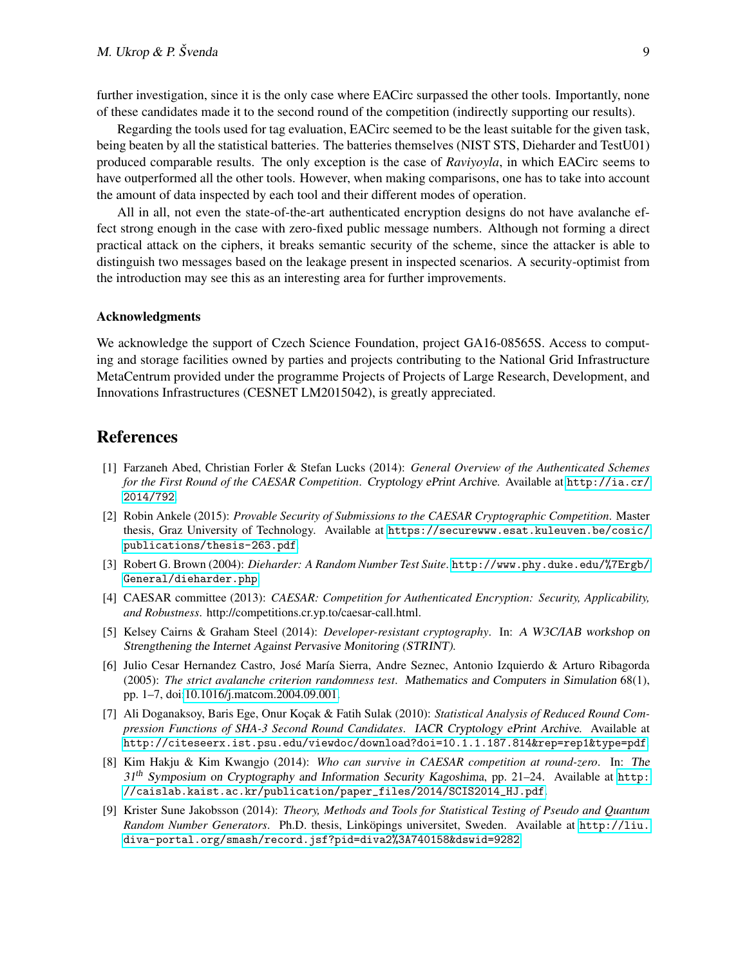further investigation, since it is the only case where EACirc surpassed the other tools. Importantly, none of these candidates made it to the second round of the competition (indirectly supporting our results).

Regarding the tools used for tag evaluation, EACirc seemed to be the least suitable for the given task, being beaten by all the statistical batteries. The batteries themselves (NIST STS, Dieharder and TestU01) produced comparable results. The only exception is the case of *Raviyoyla*, in which EACirc seems to have outperformed all the other tools. However, when making comparisons, one has to take into account the amount of data inspected by each tool and their different modes of operation.

All in all, not even the state-of-the-art authenticated encryption designs do not have avalanche effect strong enough in the case with zero-fixed public message numbers. Although not forming a direct practical attack on the ciphers, it breaks semantic security of the scheme, since the attacker is able to distinguish two messages based on the leakage present in inspected scenarios. A security-optimist from the introduction may see this as an interesting area for further improvements.

#### Acknowledgments

We acknowledge the support of Czech Science Foundation, project GA16-08565S. Access to computing and storage facilities owned by parties and projects contributing to the National Grid Infrastructure MetaCentrum provided under the programme Projects of Projects of Large Research, Development, and Innovations Infrastructures (CESNET LM2015042), is greatly appreciated.

## References

- <span id="page-8-4"></span>[1] Farzaneh Abed, Christian Forler & Stefan Lucks (2014): *General Overview of the Authenticated Schemes for the First Round of the CAESAR Competition*. Cryptology ePrint Archive. Available at [http://ia.cr/](http://ia.cr/2014/792) [2014/792](http://ia.cr/2014/792).
- <span id="page-8-6"></span>[2] Robin Ankele (2015): *Provable Security of Submissions to the CAESAR Cryptographic Competition*. Master thesis, Graz University of Technology. Available at [https://securewww.esat.kuleuven.be/cosic/](https://securewww.esat.kuleuven.be/cosic/publications/thesis-263.pdf) [publications/thesis-263.pdf](https://securewww.esat.kuleuven.be/cosic/publications/thesis-263.pdf).
- <span id="page-8-3"></span>[3] Robert G. Brown (2004): *Dieharder: A Random Number Test Suite*. [http://www.phy.duke.edu/%7Ergb/](http://www.phy.duke.edu/%7Ergb/General/dieharder.php) [General/dieharder.php](http://www.phy.duke.edu/%7Ergb/General/dieharder.php).
- <span id="page-8-2"></span>[4] CAESAR committee (2013): *CAESAR: Competition for Authenticated Encryption: Security, Applicability, and Robustness*. http://competitions.cr.yp.to/caesar-call.html.
- <span id="page-8-0"></span>[5] Kelsey Cairns & Graham Steel (2014): *Developer-resistant cryptography*. In: A W3C/IAB workshop on Strengthening the Internet Against Pervasive Monitoring (STRINT).
- <span id="page-8-1"></span>[6] Julio Cesar Hernandez Castro, José María Sierra, Andre Seznec, Antonio Izquierdo & Arturo Ribagorda (2005): *The strict avalanche criterion randomness test*. Mathematics and Computers in Simulation 68(1), pp. 1–7, doi[:10.1016/j.matcom.2004.09.001.](http://dx.doi.org/10.1016/j.matcom.2004.09.001)
- <span id="page-8-8"></span>[7] Ali Doganaksoy, Baris Ege, Onur Koçak & Fatih Sulak (2010): *Statistical Analysis of Reduced Round Compression Functions of SHA-3 Second Round Candidates*. IACR Cryptology ePrint Archive. Available at <http://citeseerx.ist.psu.edu/viewdoc/download?doi=10.1.1.187.814&rep=rep1&type=pdf>.
- <span id="page-8-5"></span>[8] Kim Hakju & Kim Kwangjo (2014): *Who can survive in CAESAR competition at round-zero*. In: The  $31<sup>th</sup>$  Symposium on Cryptography and Information Security Kagoshima, pp. 21–24. Available at [http:](http://caislab.kaist.ac.kr/publication/paper_files/2014/SCIS2014_HJ.pdf) [//caislab.kaist.ac.kr/publication/paper\\_files/2014/SCIS2014\\_HJ.pdf](http://caislab.kaist.ac.kr/publication/paper_files/2014/SCIS2014_HJ.pdf).
- <span id="page-8-7"></span>[9] Krister Sune Jakobsson (2014): *Theory, Methods and Tools for Statistical Testing of Pseudo and Quantum Random Number Generators*. Ph.D. thesis, Linköpings universitet, Sweden. Available at [http://liu.](http://liu.diva-portal.org/smash/record.jsf?pid=diva2%3A740158&dswid=9282) [diva-portal.org/smash/record.jsf?pid=diva2%3A740158&dswid=9282](http://liu.diva-portal.org/smash/record.jsf?pid=diva2%3A740158&dswid=9282).